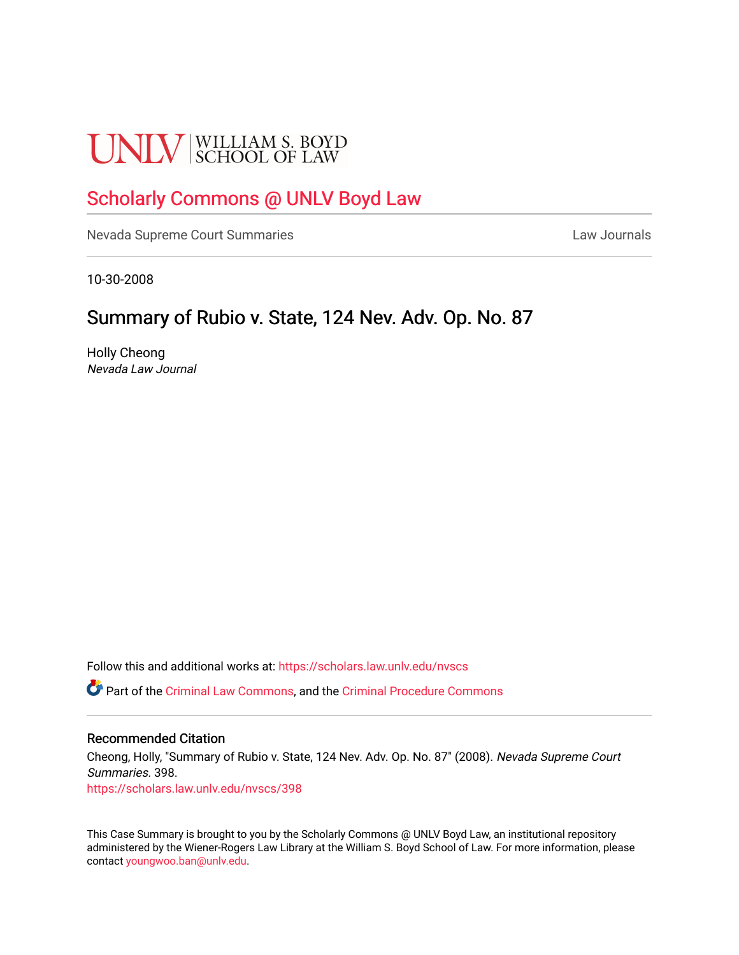# **UNLV** SCHOOL OF LAW

# [Scholarly Commons @ UNLV Boyd Law](https://scholars.law.unlv.edu/)

[Nevada Supreme Court Summaries](https://scholars.law.unlv.edu/nvscs) **Law Journals** Law Journals

10-30-2008

# Summary of Rubio v. State, 124 Nev. Adv. Op. No. 87

Holly Cheong Nevada Law Journal

Follow this and additional works at: [https://scholars.law.unlv.edu/nvscs](https://scholars.law.unlv.edu/nvscs?utm_source=scholars.law.unlv.edu%2Fnvscs%2F398&utm_medium=PDF&utm_campaign=PDFCoverPages)

Part of the [Criminal Law Commons,](http://network.bepress.com/hgg/discipline/912?utm_source=scholars.law.unlv.edu%2Fnvscs%2F398&utm_medium=PDF&utm_campaign=PDFCoverPages) and the [Criminal Procedure Commons](http://network.bepress.com/hgg/discipline/1073?utm_source=scholars.law.unlv.edu%2Fnvscs%2F398&utm_medium=PDF&utm_campaign=PDFCoverPages)

# Recommended Citation

Cheong, Holly, "Summary of Rubio v. State, 124 Nev. Adv. Op. No. 87" (2008). Nevada Supreme Court Summaries. 398. [https://scholars.law.unlv.edu/nvscs/398](https://scholars.law.unlv.edu/nvscs/398?utm_source=scholars.law.unlv.edu%2Fnvscs%2F398&utm_medium=PDF&utm_campaign=PDFCoverPages)

This Case Summary is brought to you by the Scholarly Commons @ UNLV Boyd Law, an institutional repository administered by the Wiener-Rogers Law Library at the William S. Boyd School of Law. For more information, please contact [youngwoo.ban@unlv.edu](mailto:youngwoo.ban@unlv.edu).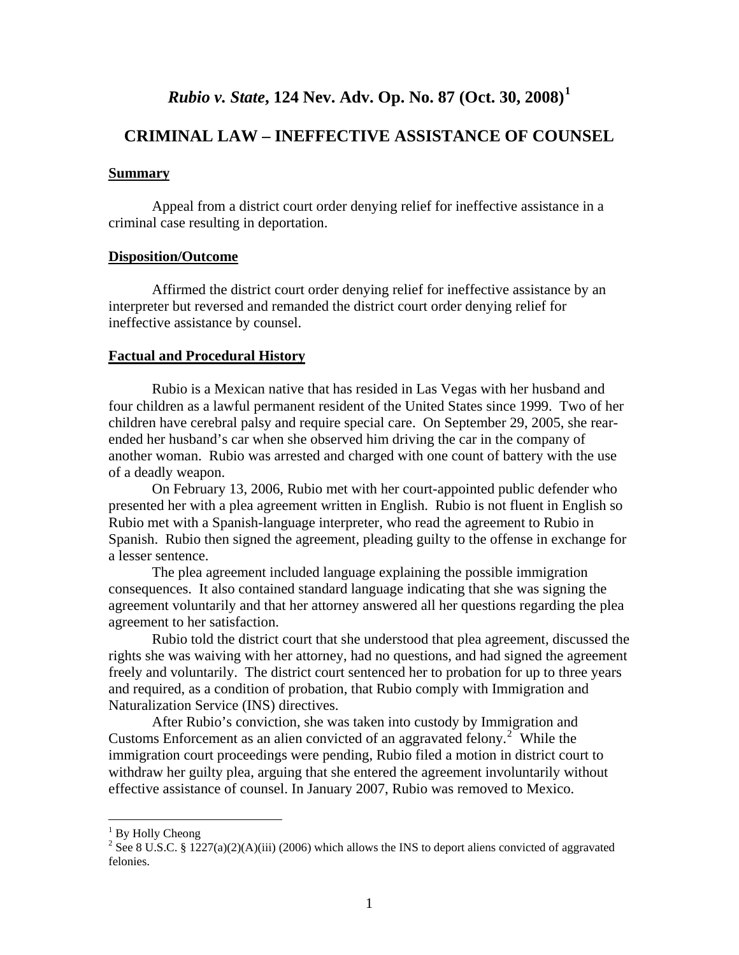# *Rubio v. State***, 124 Nev. Adv. Op. No. 87 (Oct. 30, 2008)[1](#page-1-0)**

# **CRIMINAL LAW – INEFFECTIVE ASSISTANCE OF COUNSEL**

#### **Summary**

 Appeal from a district court order denying relief for ineffective assistance in a criminal case resulting in deportation.

## **Disposition/Outcome**

 Affirmed the district court order denying relief for ineffective assistance by an interpreter but reversed and remanded the district court order denying relief for ineffective assistance by counsel.

#### **Factual and Procedural History**

 Rubio is a Mexican native that has resided in Las Vegas with her husband and four children as a lawful permanent resident of the United States since 1999. Two of her children have cerebral palsy and require special care. On September 29, 2005, she rearended her husband's car when she observed him driving the car in the company of another woman. Rubio was arrested and charged with one count of battery with the use of a deadly weapon.

 On February 13, 2006, Rubio met with her court-appointed public defender who presented her with a plea agreement written in English. Rubio is not fluent in English so Rubio met with a Spanish-language interpreter, who read the agreement to Rubio in Spanish. Rubio then signed the agreement, pleading guilty to the offense in exchange for a lesser sentence.

 The plea agreement included language explaining the possible immigration consequences. It also contained standard language indicating that she was signing the agreement voluntarily and that her attorney answered all her questions regarding the plea agreement to her satisfaction.

 Rubio told the district court that she understood that plea agreement, discussed the rights she was waiving with her attorney, had no questions, and had signed the agreement freely and voluntarily. The district court sentenced her to probation for up to three years and required, as a condition of probation, that Rubio comply with Immigration and Naturalization Service (INS) directives.

 After Rubio's conviction, she was taken into custody by Immigration and Customs Enforcement as an alien convicted of an aggravated felony.<sup>[2](#page-1-1)</sup> While the immigration court proceedings were pending, Rubio filed a motion in district court to withdraw her guilty plea, arguing that she entered the agreement involuntarily without effective assistance of counsel. In January 2007, Rubio was removed to Mexico.

 $\overline{a}$ 

<sup>&</sup>lt;sup>1</sup> By Holly Cheong

<span id="page-1-1"></span><span id="page-1-0"></span><sup>&</sup>lt;sup>2</sup> See 8 U.S.C. § 1227(a)(2)(A)(iii) (2006) which allows the INS to deport aliens convicted of aggravated felonies.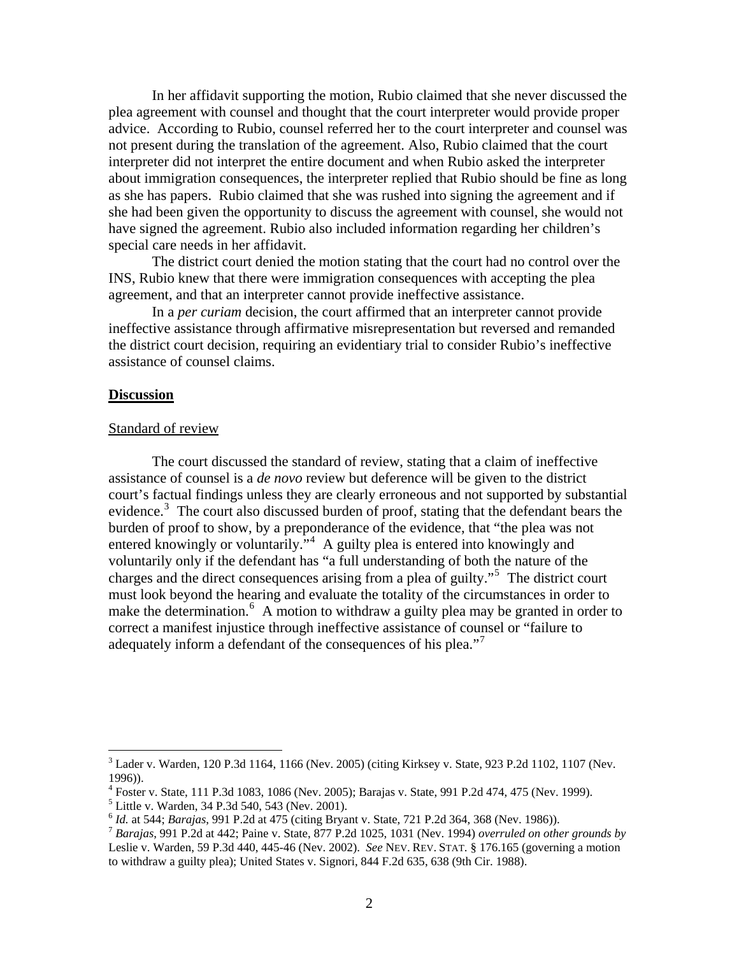In her affidavit supporting the motion, Rubio claimed that she never discussed the plea agreement with counsel and thought that the court interpreter would provide proper advice. According to Rubio, counsel referred her to the court interpreter and counsel was not present during the translation of the agreement. Also, Rubio claimed that the court interpreter did not interpret the entire document and when Rubio asked the interpreter about immigration consequences, the interpreter replied that Rubio should be fine as long as she has papers. Rubio claimed that she was rushed into signing the agreement and if she had been given the opportunity to discuss the agreement with counsel, she would not have signed the agreement. Rubio also included information regarding her children's special care needs in her affidavit.

 The district court denied the motion stating that the court had no control over the INS, Rubio knew that there were immigration consequences with accepting the plea agreement, and that an interpreter cannot provide ineffective assistance.

 In a *per curiam* decision, the court affirmed that an interpreter cannot provide ineffective assistance through affirmative misrepresentation but reversed and remanded the district court decision, requiring an evidentiary trial to consider Rubio's ineffective assistance of counsel claims.

#### **Discussion**

#### Standard of review

 The court discussed the standard of review, stating that a claim of ineffective assistance of counsel is a *de novo* review but deference will be given to the district court's factual findings unless they are clearly erroneous and not supported by substantial evidence.<sup>[3](#page-2-0)</sup> The court also discussed burden of proof, stating that the defendant bears the burden of proof to show, by a preponderance of the evidence, that "the plea was not entered knowingly or voluntarily."<sup>[4](#page-2-1)</sup> A guilty plea is entered into knowingly and voluntarily only if the defendant has "a full understanding of both the nature of the charges and the direct consequences arising from a plea of guilty."[5](#page-2-2) The district court must look beyond the hearing and evaluate the totality of the circumstances in order to make the determination.<sup>[6](#page-2-3)</sup> A motion to withdraw a guilty plea may be granted in order to correct a manifest injustice through ineffective assistance of counsel or "failure to adequately inform a defendant of the consequences of his plea."<sup>[7](#page-2-4)</sup>

<span id="page-2-0"></span> 3 Lader v. Warden, 120 P.3d 1164, 1166 (Nev. 2005) (citing Kirksey v. State, 923 P.2d 1102, 1107 (Nev. 1996)).

<span id="page-2-1"></span><sup>&</sup>lt;sup>4</sup> Foster v. State, 111 P.3d 1083, 1086 (Nev. 2005); Barajas v. State, 991 P.2d 474, 475 (Nev. 1999).

<sup>5</sup> Little v. Warden, 34 P.3d 540, 543 (Nev. 2001).

<span id="page-2-4"></span><span id="page-2-3"></span><span id="page-2-2"></span><sup>&</sup>lt;sup>6</sup> *Id.* at 544; *Barajas*, 991 P.2d at 475 (citing Bryant v. State, 721 P.2d 364, 368 (Nev. 1986)).<br><sup>7</sup> *Barajas*, 991 P.2d at 442; Paine v. State, 877 P.2d 1025, 1031 (Nev. 1994) *overruled on other grounds by* Leslie v. Warden, 59 P.3d 440, 445-46 (Nev. 2002). *See* NEV. REV. STAT. § 176.165 (governing a motion to withdraw a guilty plea); United States v. Signori, 844 F.2d 635, 638 (9th Cir. 1988).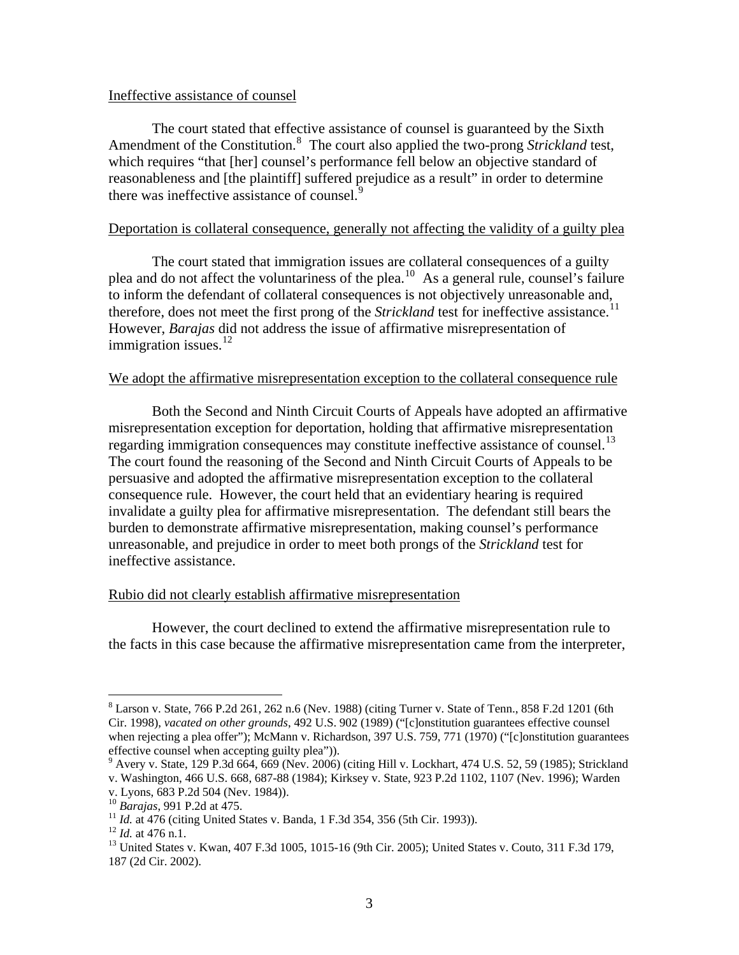### Ineffective assistance of counsel

 The court stated that effective assistance of counsel is guaranteed by the Sixth Amendment of the Constitution.<sup>[8](#page-3-0)</sup> The court also applied the two-prong *Strickland* test, which requires "that [her] counsel's performance fell below an objective standard of reasonableness and [the plaintiff] suffered prejudice as a result" in order to determine there was ineffective assistance of counsel.<sup>[9](#page-3-1)</sup>

# Deportation is collateral consequence, generally not affecting the validity of a guilty plea

 The court stated that immigration issues are collateral consequences of a guilty plea and do not affect the voluntariness of the plea.<sup>[10](#page-3-2)</sup> As a general rule, counsel's failure to inform the defendant of collateral consequences is not objectively unreasonable and, therefore, does not meet the first prong of the *Strickland* test for ineffective assistance.<sup>[11](#page-3-3)</sup> However, *Barajas* did not address the issue of affirmative misrepresentation of immigration issues. $^{12}$  $^{12}$  $^{12}$ 

# We adopt the affirmative misrepresentation exception to the collateral consequence rule

 Both the Second and Ninth Circuit Courts of Appeals have adopted an affirmative misrepresentation exception for deportation, holding that affirmative misrepresentation regarding immigration consequences may constitute ineffective assistance of counsel.<sup>[13](#page-3-5)</sup> The court found the reasoning of the Second and Ninth Circuit Courts of Appeals to be persuasive and adopted the affirmative misrepresentation exception to the collateral consequence rule. However, the court held that an evidentiary hearing is required invalidate a guilty plea for affirmative misrepresentation. The defendant still bears the burden to demonstrate affirmative misrepresentation, making counsel's performance unreasonable, and prejudice in order to meet both prongs of the *Strickland* test for ineffective assistance.

#### Rubio did not clearly establish affirmative misrepresentation

 However, the court declined to extend the affirmative misrepresentation rule to the facts in this case because the affirmative misrepresentation came from the interpreter,

 $\overline{a}$ 

<span id="page-3-0"></span> $8$  Larson v. State, 766 P.2d 261, 262 n.6 (Nev. 1988) (citing Turner v. State of Tenn., 858 F.2d 1201 (6th Cir. 1998), *vacated on other grounds*, 492 U.S. 902 (1989) ("[c]onstitution guarantees effective counsel when rejecting a plea offer"); McMann v. Richardson, 397 U.S. 759, 771 (1970) ("[c]onstitution guarantees effective counsel when accepting guilty plea")).

<sup>9</sup> Avery v. State, 129 P.3d 664, 669 (Nev. 2006) (citing Hill v. Lockhart, 474 U.S. 52, 59 (1985); Strickland

<span id="page-3-1"></span>v. Washington, 466 U.S. 668, 687-88 (1984); Kirksey v. State, 923 P.2d 1102, 1107 (Nev. 1996); Warden

v. Lyons, 683 P.2d 504 (Nev. 1984)).<br><sup>10</sup> Barajas, 991 P.2d at 475.

<span id="page-3-5"></span><span id="page-3-4"></span>

<span id="page-3-3"></span><span id="page-3-2"></span><sup>&</sup>lt;sup>11</sup> *Id.* at 476 (citing United States v. Banda, 1 F.3d 354, 356 (5th Cir. 1993)).<br><sup>12</sup> *Id.* at 476 n.1.<br><sup>13</sup> United States v. Kwan, 407 F.3d 1005, 1015-16 (9th Cir. 2005); United States v. Couto, 311 F.3d 179, 187 (2d Cir. 2002).